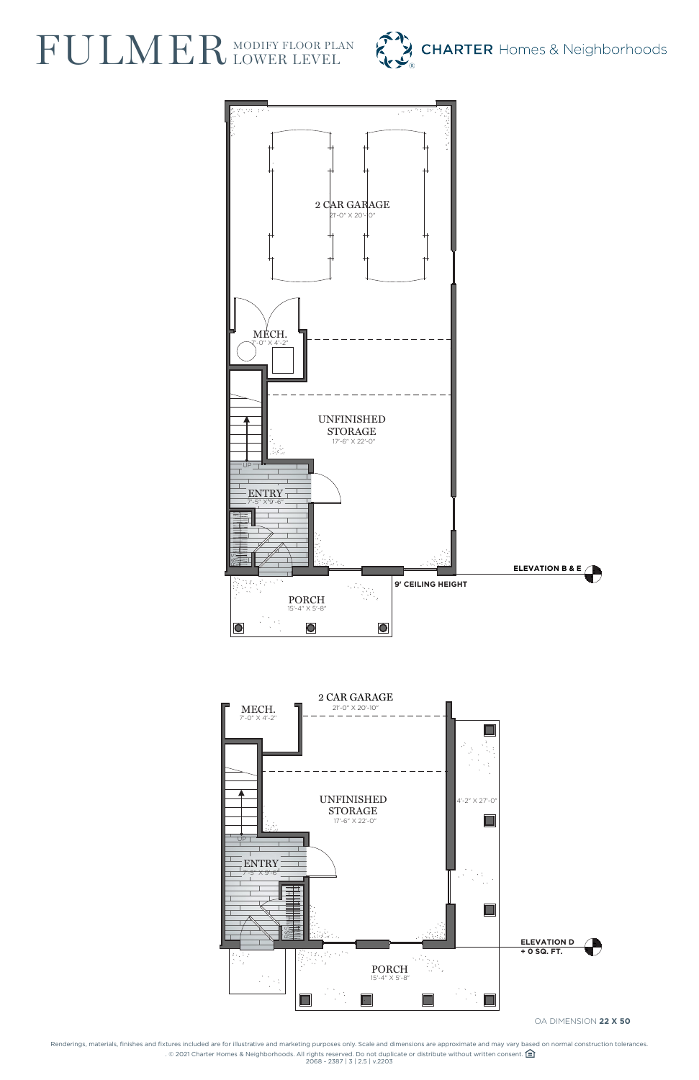Renderings, materials, finishes and fixtures included are for illustrative and marketing purposes only. Scale and dimensions are approximate and may vary based on normal construction tolerances. . © 2021 Charter Homes & Neighborhoods. All rights reserved. Do not duplicate or distribute without written consent.  $\bigcirc$ 2068 - 2387 | 3 | 2.5 | v.2203





# FULMER LOWER LEVEL MODIFY FLOOR PLAN

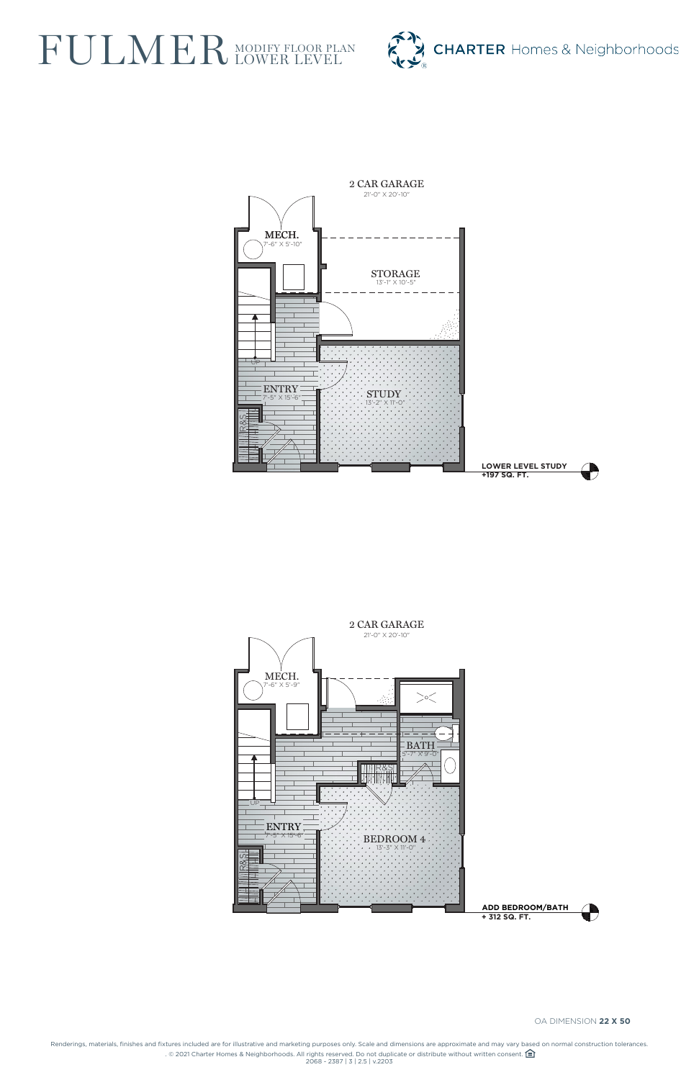Renderings, materials, finishes and fixtures included are for illustrative and marketing purposes only. Scale and dimensions are approximate and may vary based on normal construction tolerances. . © 2021 Charter Homes & Neighborhoods. All rights reserved. Do not duplicate or distribute without written consent.  $\bigoplus$ 2068 - 2387 | 3 | 2.5 | v.2203



# FULMER LOWER LEVEL MODIFY FLOOR PLAN



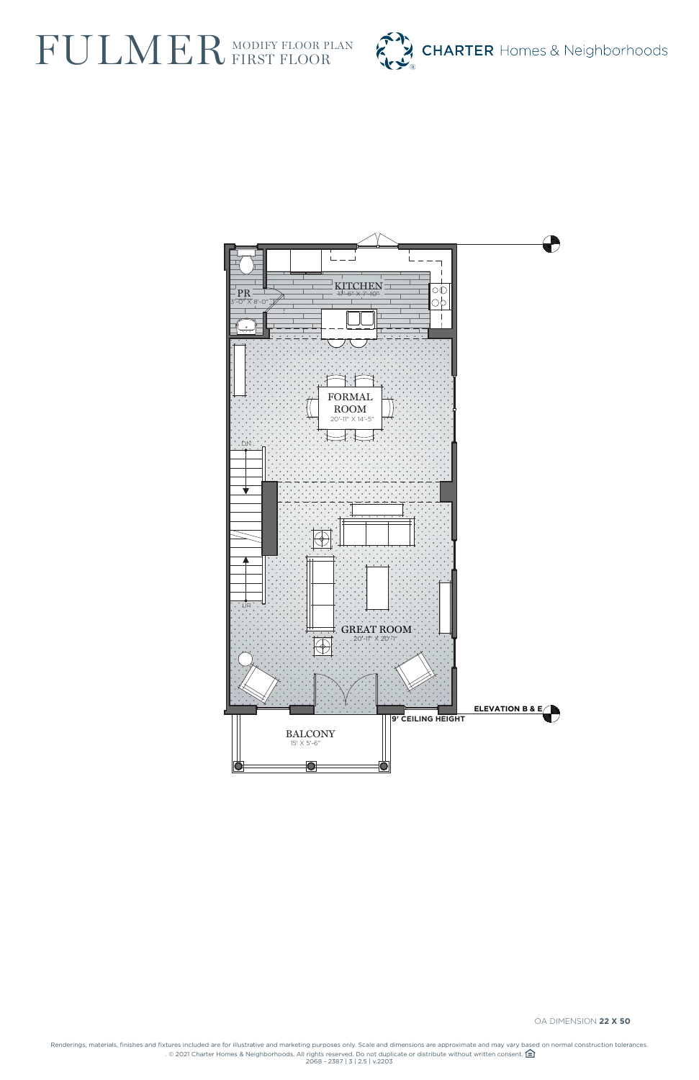Renderings, materials, finishes and fixtures included are for illustrative and marketing purposes only. Scale and dimensions are approximate and may vary based on normal construction tolerances. . © 2021 Charter Homes & Neighborhoods. All rights reserved. Do not duplicate or distribute without written consent. 2068 - 2387 | 3 | 2.5 | v.2203



# FULMER FIRST FLOOR MODIFY FLOOR PLAN

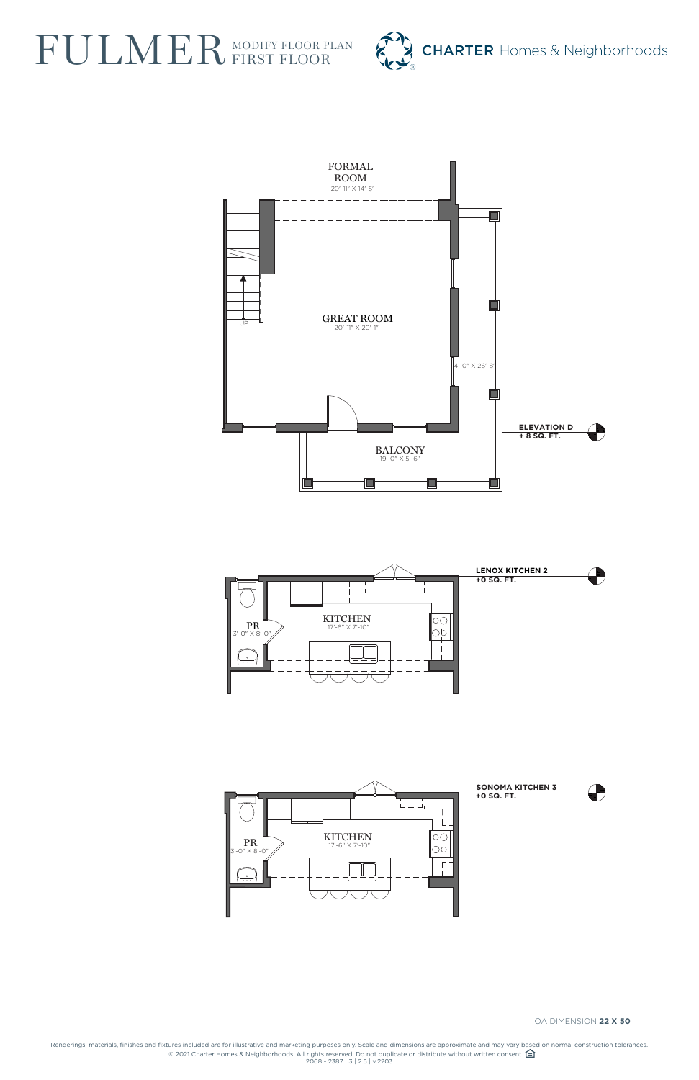Renderings, materials, finishes and fixtures included are for illustrative and marketing purposes only. Scale and dimensions are approximate and may vary based on normal construction tolerances. . © 2021 Charter Homes & Neighborhoods. All rights reserved. Do not duplicate or distribute without written consent.  $\bigoplus$ 2068 - 2387 | 3 | 2.5 | v.2203



**SONOMA KITCHEN 3**

**+0 SQ. FT.**





# FULMER FIRST FLOOR

OA DIMENSION **22 X 50**

 $\bigoplus$